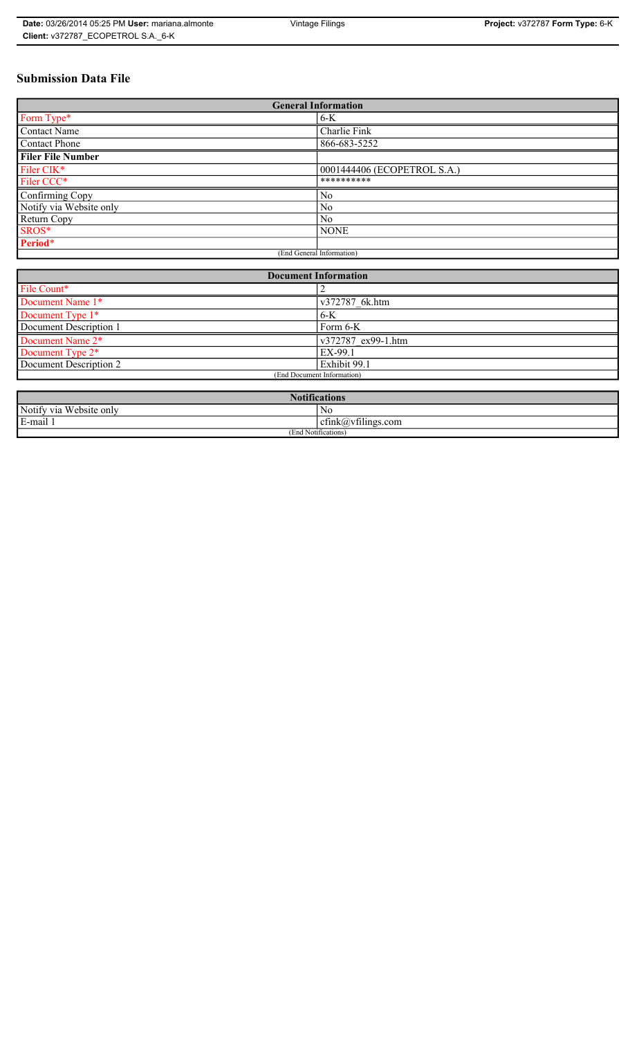# **Submission Data File**

| <b>General Information</b> |                             |
|----------------------------|-----------------------------|
| Form Type*                 | $6-K$                       |
| <b>Contact Name</b>        | Charlie Fink                |
| Contact Phone              | 866-683-5252                |
| <b>Filer File Number</b>   |                             |
| Filer CIK*                 | 0001444406 (ECOPETROL S.A.) |
| Filer CCC*                 | **********                  |
| Confirming Copy            | N <sub>0</sub>              |
| Notify via Website only    | N <sub>0</sub>              |
| Return Copy                | No.                         |
| SROS*                      | <b>NONE</b>                 |
| Period*                    |                             |
| (End General Information)  |                             |

| <b>Document Information</b>  |                    |
|------------------------------|--------------------|
| File Count*                  |                    |
| Document Name 1*             | v372787 6k.htm     |
| Document Type 1*             | $6-K$              |
| Document Description 1       | Form 6-K           |
| Document Name 2 <sup>*</sup> | v372787 ex99-1.htm |
| Document Type 2*             | EX-99.1            |
| Document Description 2       | Exhibit 99.1       |
| (End Document Information)   |                    |
|                              |                    |

| <b>Notifications</b>                         |                                   |  |
|----------------------------------------------|-----------------------------------|--|
| Notify via<br><b>TT7</b> 1<br>. Website only | N0                                |  |
| E-mail 1                                     | $\sim$ 1.<br>cfink(a)vfilings.com |  |
| $\cdots$<br>(End Notifications)              |                                   |  |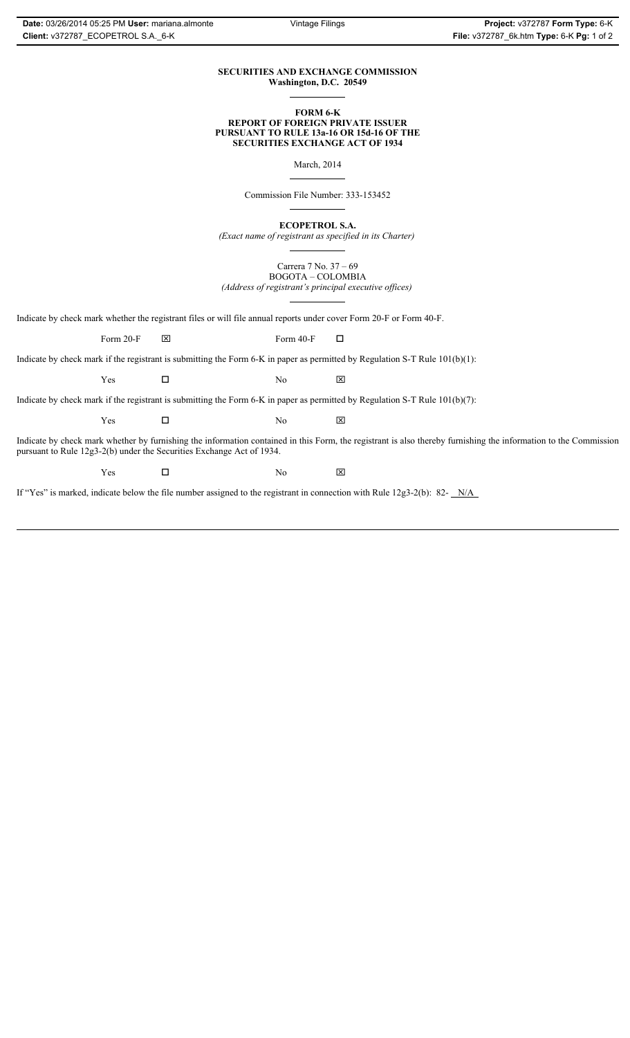#### **SECURITIES AND EXCHANGE COMMISSION Washington, D.C. 20549**

#### **FORM 6-K REPORT OF FOREIGN PRIVATE ISSUER PURSUANT TO RULE 13a-16 OR 15d-16 OF THE SECURITIES EXCHANGE ACT OF 1934**

March, 2014

Commission File Number: 333-153452

**ECOPETROL S.A.**

*(Exact name of registrant as specified in its Charter)*

Carrera 7 No. 37 – 69 BOGOTA – COLOMBIA *(Address of registrant's principal executive offices)*

Indicate by check mark whether the registrant files or will file annual reports under cover Form 20-F or Form 40-F.

Form 20-F  $\boxtimes$  Form 40-F  $\Box$ 

Indicate by check mark if the registrant is submitting the Form 6-K in paper as permitted by Regulation S-T Rule 101(b)(1):

 $Yes$   $\Box$  No  $X$ 

Indicate by check mark if the registrant is submitting the Form 6-K in paper as permitted by Regulation S-T Rule 101(b)(7):

 $Yes$   $\Box$  No  $X$ 

Indicate by check mark whether by furnishing the information contained in this Form, the registrant is also thereby furnishing the information to the Commission pursuant to Rule 12g3-2(b) under the Securities Exchange Act of 1934.

 $Yes$   $\Box$  No  $X$ 

If "Yes" is marked, indicate below the file number assigned to the registrant in connection with Rule 12g3-2(b): 82- N/A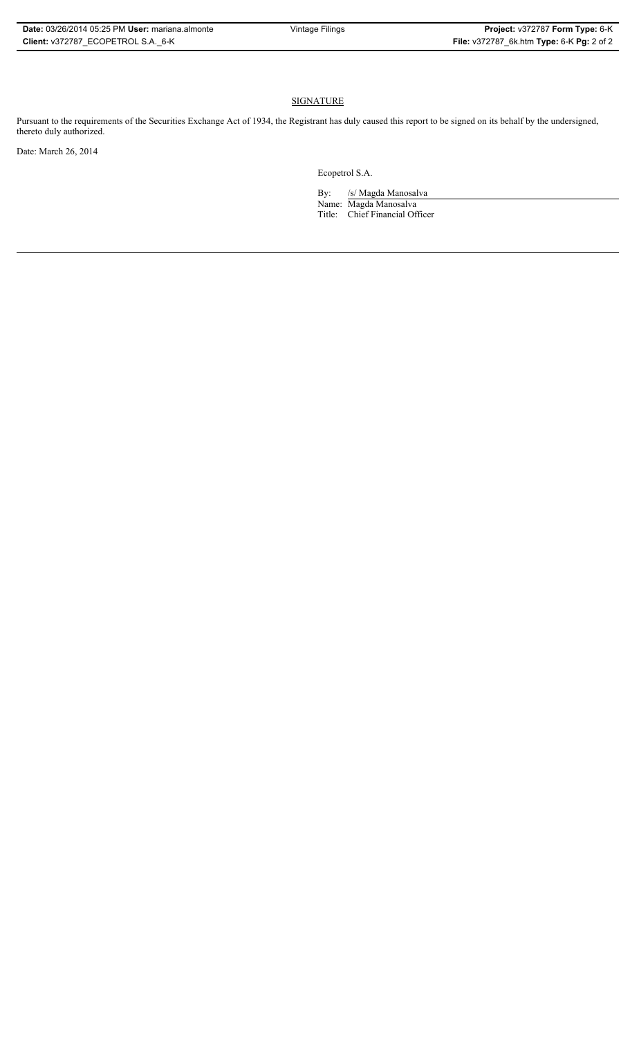### **SIGNATURE**

Pursuant to the requirements of the Securities Exchange Act of 1934, the Registrant has duly caused this report to be signed on its behalf by the undersigned, thereto duly authorized.

Date: March 26, 2014

Ecopetrol S.A.

By: /s/ Magda Manosalva Name: Magda Manosalva Title: Chief Financial Officer